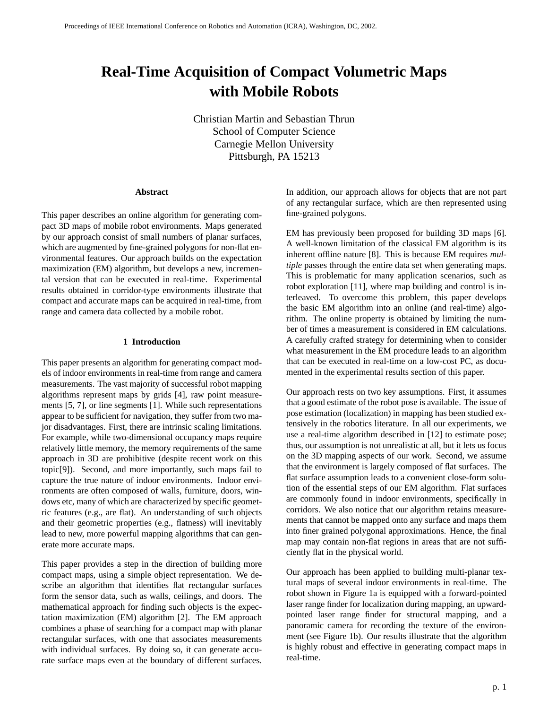# **Real-Time Acquisition of Compact Volumetric Maps with Mobile Robots**

Christian Martin and Sebastian Thrun School of Computer Science Carnegie Mellon University Pittsburgh, PA 15213

# **Abstract**

This paper describes an online algorithm for generating compact 3D maps of mobile robot environments. Maps generated by our approach consist of small numbers of planar surfaces, which are augmented by fine-grained polygons for non-flat environmental features. Our approach builds on the expectation maximization (EM) algorithm, but develops a new, incremental version that can be executed in real-time. Experimental results obtained in corridor-type environments illustrate that compact and accurate maps can be acquired in real-time, from range and camera data collected by a mobile robot.

### **1 Introduction**

This paper presents an algorithm for generating compact models of indoor environments in real-time from range and camera measurements. The vast majority of successful robot mapping algorithms represent maps by grids [4], raw point measurements [5, 7], or line segments [1]. While such representations appear to be sufficient for navigation, they suffer from two major disadvantages. First, there are intrinsic scaling limitations. For example, while two-dimensional occupancy maps require relatively little memory, the memory requirements of the same approach in 3D are prohibitive (despite recent work on this topic[9]). Second, and more importantly, such maps fail to capture the true nature of indoor environments. Indoor environments are often composed of walls, furniture, doors, windows etc, many of which are characterized by specific geometric features (e.g., are flat). An understanding of such objects and their geometric properties (e.g., flatness) will inevitably lead to new, more powerful mapping algorithms that can generate more accurate maps.

This paper provides a step in the direction of building more compact maps, using a simple object representation. We describe an algorithm that identifies flat rectangular surfaces form the sensor data, such as walls, ceilings, and doors. The mathematical approach for finding such objects is the expectation maximization (EM) algorithm [2]. The EM approach combines a phase of searching for a compact map with planar rectangular surfaces, with one that associates measurements with individual surfaces. By doing so, it can generate accurate surface maps even at the boundary of different surfaces. In addition, our approach allows for objects that are not part of any rectangular surface, which are then represented using fine-grained polygons.

EM has previously been proposed for building 3D maps [6]. A well-known limitation of the classical EM algorithm is its inherent offline nature [8]. This is because EM requires *multiple* passes through the entire data set when generating maps. This is problematic for many application scenarios, such as robot exploration [11], where map building and control is interleaved. To overcome this problem, this paper develops the basic EM algorithm into an online (and real-time) algorithm. The online property is obtained by limiting the number of times a measurement is considered in EM calculations. A carefully crafted strategy for determining when to consider what measurement in the EM procedure leads to an algorithm that can be executed in real-time on a low-cost PC, as documented in the experimental results section of this paper.

Our approach rests on two key assumptions. First, it assumes that a good estimate of the robot pose is available. The issue of pose estimation (localization) in mapping has been studied extensively in the robotics literature. In all our experiments, we use a real-time algorithm described in [12] to estimate pose; thus, our assumption is not unrealistic at all, but it lets us focus on the 3D mapping aspects of our work. Second, we assume that the environment is largely composed of flat surfaces. The flat surface assumption leads to a convenient close-form solution of the essential steps of our EM algorithm. Flat surfaces are commonly found in indoor environments, specifically in corridors. We also notice that our algorithm retains measurements that cannot be mapped onto any surface and maps them into finer grained polygonal approximations. Hence, the final map may contain non-flat regions in areas that are not sufficiently flat in the physical world.

Our approach has been applied to building multi-planar textural maps of several indoor environments in real-time. The robot shown in Figure 1a is equipped with a forward-pointed laser range finder for localization during mapping, an upwardpointed laser range finder for structural mapping, and a panoramic camera for recording the texture of the environment (see Figure 1b). Our results illustrate that the algorithm is highly robust and effective in generating compact maps in real-time.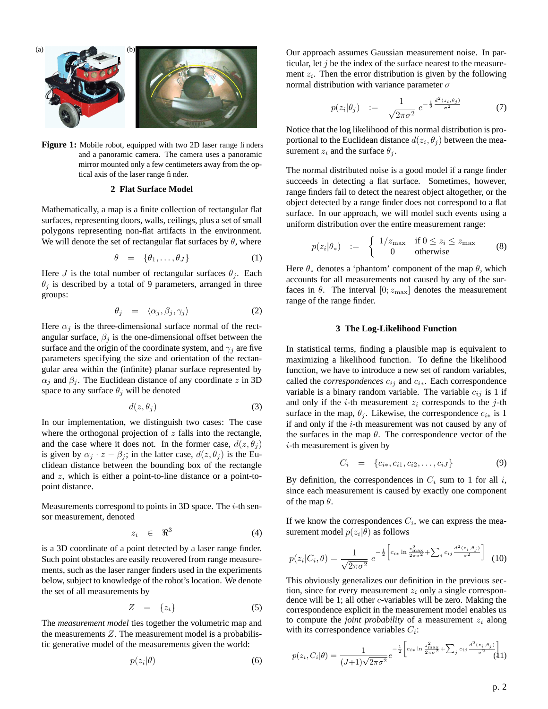

**Figure 1:** Mobile robot, equipped with two 2D laser range finders and a panoramic camera. The camera uses a panoramic mirror mounted only a few centimeters away from the optical axis of the laser range finder.

#### **2 Flat Surface Model**

Mathematically, a map is a finite collection of rectangular flat surfaces, representing doors, walls, ceilings, plus a set of small polygons representing non-flat artifacts in the environment. We will denote the set of rectangular flat surfaces by  $\theta$ , where

$$
\theta = \{\theta_1, \ldots, \theta_J\} \tag{1}
$$

Here *J* is the total number of rectangular surfaces  $\theta_j$ . Each  $\theta_i$  is described by a total of 9 parameters, arranged in three groups:

$$
\theta_j = \langle \alpha_j, \beta_j, \gamma_j \rangle \tag{2}
$$

Here  $\alpha_j$  is the three-dimensional surface normal of the rectangular surface,  $\beta_j$  is the one-dimensional offset between the surface and the origin of the coordinate system, and  $\gamma_j$  are five parameters specifying the size and orientation of the rectangular area within the (infinite) planar surface represented by  $\alpha_i$  and  $\beta_i$ . The Euclidean distance of any coordinate z in 3D space to any surface  $\theta_i$  will be denoted

$$
d(z, \theta_j) \tag{3}
$$

In our implementation, we distinguish two cases: The case where the orthogonal projection of  $z$  falls into the rectangle, and the case where it does not. In the former case,  $d(z, \theta_i)$ is given by  $\alpha_i \cdot z - \beta_i$ ; in the latter case,  $d(z, \theta_i)$  is the Euclidean distance between the bounding box of the rectangle and z, which is either a point-to-line distance or a point-topoint distance.

Measurements correspond to points in 3D space. The  $i$ -th sensor measurement, denoted

$$
z_i \in \Re^3 \tag{4}
$$

is a 3D coordinate of a point detected by a laser range finder. Such point obstacles are easily recovered from range measurements, such as the laser ranger finders used in the experiments below, subject to knowledge of the robot's location. We denote the set of all measurements by

$$
Z = \{z_i\} \tag{5}
$$

The *measurement model* ties together the volumetric map and the measurements  $Z$ . The measurement model is a probabilistic generative model of the measurements given the world:

$$
p(z_i|\theta) \tag{6}
$$

Our approach assumes Gaussian measurement noise. In particular, let  $j$  be the index of the surface nearest to the measurement  $z_i$ . Then the error distribution is given by the following normal distribution with variance parameter  $\sigma$ 

$$
p(z_i|\theta_j) := \frac{1}{\sqrt{2\pi\sigma^2}} e^{-\frac{1}{2}\frac{d^2(z_i,\theta_j)}{\sigma^2}}
$$
(7)

Notice that the log likelihood of this normal distribution is proportional to the Euclidean distance  $d(z_i, \theta_j)$  between the measurement  $z_i$  and the surface  $\theta_i$ .

The normal distributed noise is a good model if a range finder succeeds in detecting a flat surface. Sometimes, however, range finders fail to detect the nearest object altogether, or the object detected by a range finder does not correspond to a flat surface. In our approach, we will model such events using a uniform distribution over the entire measurement range:

$$
p(z_i|\theta_*) \quad := \quad \left\{ \begin{array}{cl} 1/z_{\text{max}} & \text{if } 0 \le z_i \le z_{\text{max}} \\ 0 & \text{otherwise} \end{array} \right. \tag{8}
$$

Here  $\theta_*$  denotes a 'phantom' component of the map  $\theta$ , which accounts for all measurements not caused by any of the surfaces in  $\theta$ . The interval  $[0; z_{\text{max}}]$  denotes the measurement range of the range finder.

#### **3 The Log-Likelihood Function**

In statistical terms, finding a plausible map is equivalent to maximizing a likelihood function. To define the likelihood function, we have to introduce a new set of random variables, called the *correspondences*  $c_{ij}$  and  $c_{i*}$ . Each correspondence variable is a binary random variable. The variable  $c_{ij}$  is 1 if and only if the  $i$ -th measurement  $z_i$  corresponds to the  $j$ -th surface in the map,  $\theta_j$ . Likewise, the correspondence  $c_{i*}$  is 1 if and only if the  $i$ -th measurement was not caused by any of the surfaces in the map  $\theta$ . The correspondence vector of the  $i$ -th measurement is given by

$$
C_i = \{c_{i*}, c_{i1}, c_{i2}, \dots, c_{iJ}\}\tag{9}
$$

By definition, the correspondences in  $C_i$  sum to 1 for all i, since each measurement is caused by exactly one component of the map  $\theta$ .

If we know the correspondences  $C_i$ , we can express the measurement model  $p(z_i|\theta)$  as follows

$$
p(z_i|C_i, \theta) = \frac{1}{\sqrt{2\pi\sigma^2}} e^{-\frac{1}{2} \left[c_{i*} \ln \frac{z_{\text{max}}^2}{2\pi\sigma^2} + \sum_j c_{ij} \frac{d^2(z_i, \theta_j)}{\sigma^2}\right]} \tag{10}
$$

This obviously generalizes our definition in the previous section, since for every measurement  $z_i$  only a single correspondence will be 1; all other c-variables will be zero. Making the correspondence explicit in the measurement model enables us to compute the *joint probability* of a measurement  $z_i$  along with its correspondence variables  $C_i$ :

$$
p(z_i, C_i | \theta) = \frac{1}{(J+1)\sqrt{2\pi\sigma^2}} e^{-\frac{1}{2} \left[ c_{i*} \ln \frac{z_{\text{max}}^2}{2\pi\sigma^2} + \sum_j c_{ij} \frac{d^2(z_i, \theta_j)}{\sigma^2} \right]} (1)
$$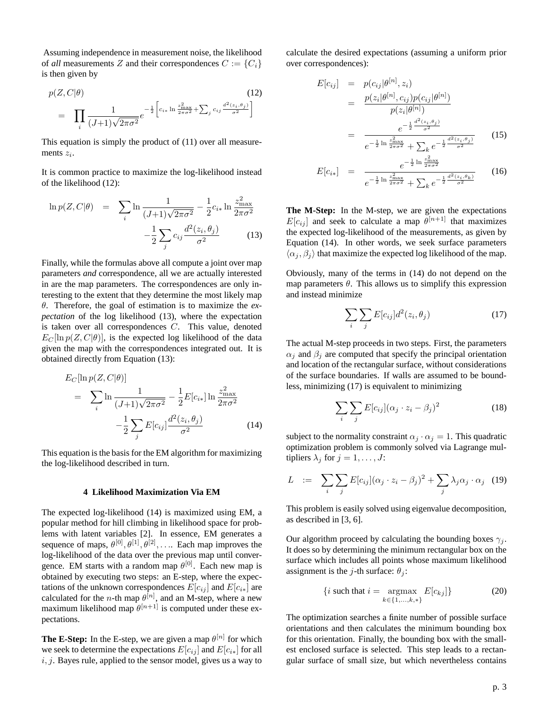Assuming independence in measurement noise, the likelihood of *all* measurements Z and their correspondences  $C := \{C_i\}$ is then given by

$$
p(Z, C | \theta)
$$
\n
$$
= \prod_{i} \frac{1}{(J+1)\sqrt{2\pi\sigma^2}} e^{-\frac{1}{2} \left[c_{i*} \ln \frac{z_{\text{max}}^2}{2\pi\sigma^2} + \sum_{j} c_{ij} \frac{d^2(z_i, \theta_j)}{\sigma^2}\right]}
$$
\n(12)

This equation is simply the product of (11) over all measurements  $z_i$ .

It is common practice to maximize the log-likelihood instead of the likelihood (12):

$$
\ln p(Z, C|\theta) = \sum_{i} \ln \frac{1}{(J+1)\sqrt{2\pi\sigma^2}} - \frac{1}{2} c_{i*} \ln \frac{z_{\text{max}}^2}{2\pi\sigma^2} -\frac{1}{2} \sum_{j} c_{ij} \frac{d^2(z_i, \theta_j)}{\sigma^2}
$$
(13)

Finally, while the formulas above all compute a joint over map parameters *and* correspondence, all we are actually interested in are the map parameters. The correspondences are only interesting to the extent that they determine the most likely map θ. Therefore, the goal of estimation is to maximize the *expectation* of the log likelihood (13), where the expectation is taken over all correspondences C. This value, denoted  $E_C$ [ln  $p(Z, C|\theta)$ ], is the expected log likelihood of the data given the map with the correspondences integrated out. It is obtained directly from Equation (13):

$$
E_C[\ln p(Z, C|\theta)]
$$
  
=  $\sum_{i} \ln \frac{1}{(J+1)\sqrt{2\pi\sigma^2}} - \frac{1}{2} E[c_{i*}] \ln \frac{z_{\text{max}}^2}{2\pi\sigma^2}$   

$$
-\frac{1}{2} \sum_{j} E[c_{ij}] \frac{d^2(z_i, \theta_j)}{\sigma^2}
$$
(14)

This equation is the basis for the EM algorithm for maximizing the log-likelihood described in turn.

#### **4 Likelihood Maximization Via EM**

The expected log-likelihood (14) is maximized using EM, a popular method for hill climbing in likelihood space for problems with latent variables [2]. In essence, EM generates a sequence of maps,  $\theta^{[0]}, \theta^{[1]}, \theta^{[2]}, \dots$  Each map improves the log-likelihood of the data over the previous map until convergence. EM starts with a random map  $\theta^{[0]}$ . Each new map is obtained by executing two steps: an E-step, where the expectations of the unknown correspondences  $E[c_{ij}]$  and  $E[c_{ik}]$  are calculated for the *n*-th map  $\theta^{[n]}$ , and an M-step, where a new maximum likelihood map  $\theta^{[n+1]}$  is computed under these expectations.

**The E-Step:** In the E-step, we are given a map  $\theta^{[n]}$  for which we seek to determine the expectations  $E[c_{ij}]$  and  $E[c_{ik}]$  for all  $i, j$ . Bayes rule, applied to the sensor model, gives us a way to calculate the desired expectations (assuming a uniform prior over correspondences):

$$
E[c_{ij}] = p(c_{ij}|\theta^{[n]}, z_i)
$$
  
= 
$$
\frac{p(z_i|\theta^{[n]}, c_{ij})p(c_{ij}|\theta^{[n]})}{p(z_i|\theta^{[n]})}
$$
  
= 
$$
\frac{e^{-\frac{1}{2}\frac{d^2(z_i, \theta_j)}{\sigma^2}}}{e^{-\frac{1}{2}\ln\frac{z_{\text{max}}^2}{2\pi\sigma^2}} + \sum_k e^{-\frac{1}{2}\frac{d^2(z_i, \theta_j)}{\sigma^2}}}
$$
(15)

$$
E[c_{i*}] = \frac{e^{-\frac{1}{2}\ln\frac{z_{\max}^2}{2\pi\sigma^2}}}{e^{-\frac{1}{2}\ln\frac{z_{\max}^2}{2\pi\sigma^2}} + \sum_{k} e^{-\frac{1}{2}\frac{d^2(z_i,\theta_k)}{\sigma^2}}} \qquad (16)
$$

**The M-Step:** In the M-step, we are given the expectations  $E[c_{ij}]$  and seek to calculate a map  $\theta^{[n+1]}$  that maximizes the expected log-likelihood of the measurements, as given by Equation (14). In other words, we seek surface parameters  $\langle \alpha_i, \beta_i \rangle$  that maximize the expected log likelihood of the map.

Obviously, many of the terms in (14) do not depend on the map parameters  $\theta$ . This allows us to simplify this expression and instead minimize

$$
\sum_{i} \sum_{j} E[c_{ij}] d^{2}(z_{i}, \theta_{j}) \qquad (17)
$$

The actual M-step proceeds in two steps. First, the parameters  $\alpha_i$  and  $\beta_i$  are computed that specify the principal orientation and location of the rectangular surface, without considerations of the surface boundaries. If walls are assumed to be boundless, minimizing (17) is equivalent to minimizing

$$
\sum_{i} \sum_{j} E[c_{ij}] (\alpha_j \cdot z_i - \beta_j)^2 \tag{18}
$$

subject to the normality constraint  $\alpha_j \cdot \alpha_j = 1$ . This quadratic optimization problem is commonly solved via Lagrange multipliers  $\lambda_j$  for  $j = 1, \ldots, J$ :

$$
L := \sum_{i} \sum_{j} E[c_{ij}] (\alpha_j \cdot z_i - \beta_j)^2 + \sum_{j} \lambda_j \alpha_j \cdot \alpha_j \quad (19)
$$

This problem is easily solved using eigenvalue decomposition, as described in [3, 6].

Our algorithm proceed by calculating the bounding boxes  $\gamma_i$ . It does so by determining the minimum rectangular box on the surface which includes all points whose maximum likelihood assignment is the j-th surface:  $\theta_i$ :

$$
\{i \text{ such that } i = \underset{k \in \{1,\dots,k,\ast\}}{\operatorname{argmax}} E[c_{kj}]\} \tag{20}
$$

The optimization searches a finite number of possible surface orientations and then calculates the minimum bounding box for this orientation. Finally, the bounding box with the smallest enclosed surface is selected. This step leads to a rectangular surface of small size, but which nevertheless contains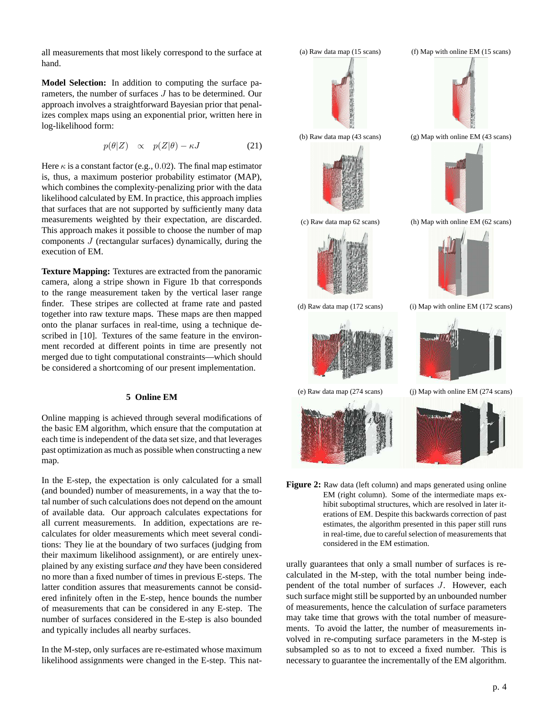all measurements that most likely correspond to the surface at hand.

**Model Selection:** In addition to computing the surface parameters, the number of surfaces J has to be determined. Our approach involves a straightforward Bayesian prior that penalizes complex maps using an exponential prior, written here in log-likelihood form:

$$
p(\theta|Z) \quad \propto \quad p(Z|\theta) - \kappa J \tag{21}
$$

Here  $\kappa$  is a constant factor (e.g., 0.02). The final map estimator is, thus, a maximum posterior probability estimator (MAP), which combines the complexity-penalizing prior with the data likelihood calculated by EM. In practice, this approach implies that surfaces that are not supported by sufficiently many data measurements weighted by their expectation, are discarded. This approach makes it possible to choose the number of map components J (rectangular surfaces) dynamically, during the execution of EM.

**Texture Mapping:** Textures are extracted from the panoramic camera, along a stripe shown in Figure 1b that corresponds to the range measurement taken by the vertical laser range finder. These stripes are collected at frame rate and pasted together into raw texture maps. These maps are then mapped onto the planar surfaces in real-time, using a technique described in [10]. Textures of the same feature in the environment recorded at different points in time are presently not merged due to tight computational constraints—which should be considered a shortcoming of our present implementation.

#### **5 Online EM**

Online mapping is achieved through several modifications of the basic EM algorithm, which ensure that the computation at each time is independent of the data set size, and that leverages past optimization as much as possible when constructing a new map.

In the E-step, the expectation is only calculated for a small (and bounded) number of measurements, in a way that the total number of such calculations does not depend on the amount of available data. Our approach calculates expectations for all current measurements. In addition, expectations are recalculates for older measurements which meet several conditions: They lie at the boundary of two surfaces (judging from their maximum likelihood assignment), or are entirely unexplained by any existing surface *and* they have been considered no more than a fixed number of times in previous E-steps. The latter condition assures that measurements cannot be considered infinitely often in the E-step, hence bounds the number of measurements that can be considered in any E-step. The number of surfaces considered in the E-step is also bounded and typically includes all nearby surfaces.

In the M-step, only surfaces are re-estimated whose maximum likelihood assignments were changed in the E-step. This nat-



hibit suboptimal structures, which are resolved in later iterations of EM. Despite this backwards correction of past estimates, the algorithm presented in this paper still runs in real-time, due to careful selection of measurements that considered in the EM estimation.

urally guarantees that only a small number of surfaces is recalculated in the M-step, with the total number being independent of the total number of surfaces J. However, each such surface might still be supported by an unbounded number of measurements, hence the calculation of surface parameters may take time that grows with the total number of measurements. To avoid the latter, the number of measurements involved in re-computing surface parameters in the M-step is subsampled so as to not to exceed a fixed number. This is necessary to guarantee the incrementally of the EM algorithm.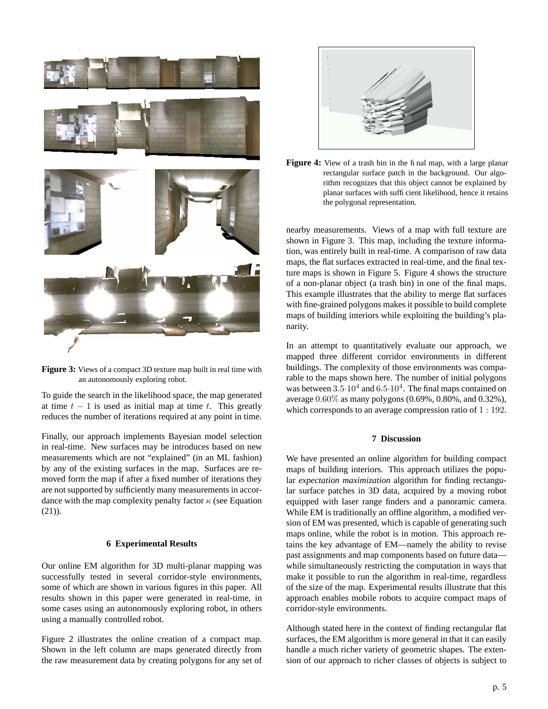

**Figure 3:** Views of a compact 3D texture map built in real time with an autonomously exploring robot.

To guide the search in the likelihood space, the map generated at time  $t - 1$  is used as initial map at time t. This greatly reduces the number of iterations required at any point in time.

Finally, our approach implements Bayesian model selection in real-time. New surfaces may be introduces based on new measurements which are not "explained" (in an ML fashion) by any of the existing surfaces in the map. Surfaces are removed form the map if after a fixed number of iterations they are not supported by sufficiently many measurements in accordance with the map complexity penalty factor  $\kappa$  (see Equation (21)).

#### **6 Experimental Results**

Our online EM algorithm for 3D multi-planar mapping was successfully tested in several corridor-style environments, some of which are shown in various figures in this paper. All results shown in this paper were generated in real-time, in some cases using an autonomously exploring robot, in others using a manually controlled robot.

Figure 2 illustrates the online creation of a compact map. Shown in the left column are maps generated directly from the raw measurement data by creating polygons for any set of



**Figure 4:** View of a trash bin in the final map, with a large planar rectangular surface patch in the background. Our algorithm recognizes that this object cannot be explained by planar surfaces with sufficient likelihood, hence it retains the polygonal representation.

nearby measurements. Views of a map with full texture are shown in Figure 3. This map, including the texture information, was entirely built in real-time. A comparison of raw data maps, the flat surfaces extracted in real-time, and the final texture maps is shown in Figure 5. Figure 4 shows the structure of a non-planar object (a trash bin) in one of the final maps. This example illustrates that the ability to merge flat surfaces with fine-grained polygons makes it possible to build complete maps of building interiors while exploiting the building's planarity.

In an attempt to quantitatively evaluate our approach, we mapped three different corridor environments in different buildings. The complexity of those environments was comparable to the maps shown here. The number of initial polygons was between  $3.5 \cdot 10^4$  and  $6.5 \cdot 10^4$ . The final maps contained on average 0.60% as many polygons (0.69%, 0.80%, and 0.32%), which corresponds to an average compression ratio of  $1:192$ .

# **7 Discussion**

We have presented an online algorithm for building compact maps of building interiors. This approach utilizes the popular *expectation maximization* algorithm for finding rectangular surface patches in 3D data, acquired by a moving robot equipped with laser range finders and a panoramic camera. While EM is traditionally an offline algorithm, a modified version of EM was presented, which is capable of generating such maps online, while the robot is in motion. This approach retains the key advantage of EM—namely the ability to revise past assignments and map components based on future data while simultaneously restricting the computation in ways that make it possible to run the algorithm in real-time, regardless of the size of the map. Experimental results illustrate that this approach enables mobile robots to acquire compact maps of corridor-style environments.

Although stated here in the context of finding rectangular flat surfaces, the EM algorithm is more general in that it can easily handle a much richer variety of geometric shapes. The extension of our approach to richer classes of objects is subject to